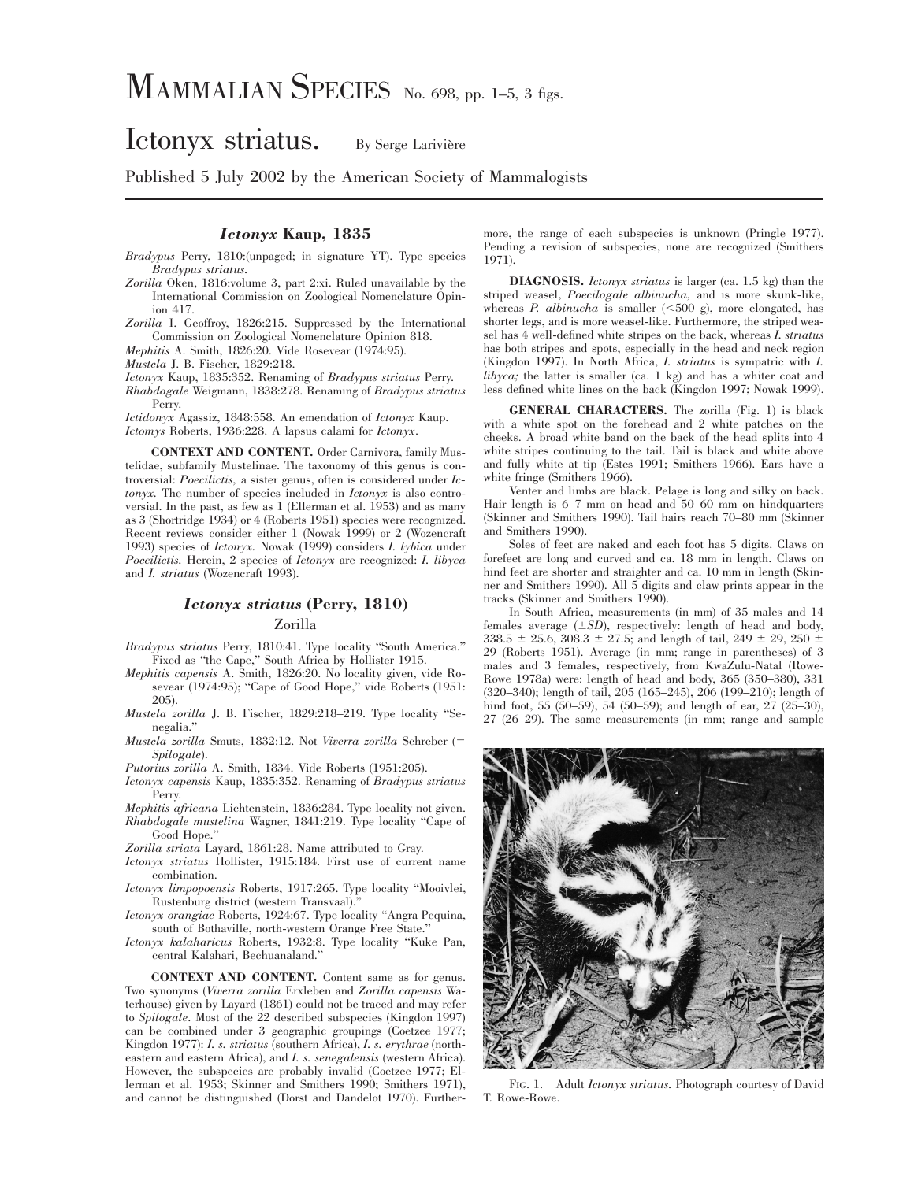# Ictonyx striatus. By Serge Larivière

# Published 5 July 2002 by the American Society of Mammalogists

## *Ictonyx* **Kaup, 1835**

*Bradypus* Perry, 1810:(unpaged; in signature YT). Type species *Bradypus striatus.*

- *Zorilla* Oken, 1816:volume 3, part 2:xi. Ruled unavailable by the International Commission on Zoological Nomenclature Opinion 417.
- *Zorilla* I. Geoffroy, 1826:215. Suppressed by the International Commission on Zoological Nomenclature Opinion 818.

*Mephitis* A. Smith, 1826:20. Vide Rosevear (1974:95).

*Mustela* J. B. Fischer, 1829:218.

*Ictonyx* Kaup, 1835:352. Renaming of *Bradypus striatus* Perry.

*Rhabdogale* Weigmann, 1838:278. Renaming of *Bradypus striatus* Perry.

*Ictidonyx* Agassiz, 1848:558. An emendation of *Ictonyx* Kaup. *Ictomys* Roberts, 1936:228. A lapsus calami for *Ictonyx*.

**CONTEXT AND CONTENT.** Order Carnivora, family Mustelidae, subfamily Mustelinae. The taxonomy of this genus is controversial: *Poecilictis,* a sister genus, often is considered under *Ictonyx.* The number of species included in *Ictonyx* is also controversial. In the past, as few as 1 (Ellerman et al. 1953) and as many as 3 (Shortridge 1934) or 4 (Roberts 1951) species were recognized. Recent reviews consider either 1 (Nowak 1999) or 2 (Wozencraft 1993) species of *Ictonyx.* Nowak (1999) considers *I. lybica* under *Poecilictis.* Herein, 2 species of *Ictonyx* are recognized: *I. libyca* and *I. striatus* (Wozencraft 1993).

## *Ictonyx striatus* **(Perry, 1810)**

### Zorilla

- *Bradypus striatus* Perry, 1810:41. Type locality ''South America.'' Fixed as ''the Cape,'' South Africa by Hollister 1915.
- *Mephitis capensis* A. Smith, 1826:20. No locality given, vide Rosevear (1974:95); "Cape of Good Hope," vide Roberts (1951: 205).
- *Mustela zorilla* J. B. Fischer, 1829:218–219. Type locality ''Senegalia.''
- *Mustela zorilla* Smuts, 1832:12. Not *Viverra zorilla* Schreber (5 *Spilogale*).

*Putorius zorilla* A. Smith, 1834. Vide Roberts (1951:205).

- *Ictonyx capensis* Kaup, 1835:352. Renaming of *Bradypus striatus* Perry.
- *Mephitis africana* Lichtenstein, 1836:284. Type locality not given. *Rhabdogale mustelina* Wagner, 1841:219. Type locality ''Cape of Good Hope.''
- *Zorilla striata* Layard, 1861:28. Name attributed to Gray.
- *Ictonyx striatus* Hollister, 1915:184. First use of current name combination.
- *Ictonyx limpopoensis* Roberts, 1917:265. Type locality ''Mooivlei, Rustenburg district (western Transvaal).''

*Ictonyx orangiae* Roberts, 1924:67. Type locality ''Angra Pequina, south of Bothaville, north-western Orange Free State.''

*Ictonyx kalaharicus* Roberts, 1932:8. Type locality ''Kuke Pan, central Kalahari, Bechuanaland.''

**CONTEXT AND CONTENT.** Content same as for genus. Two synonyms (*Viverra zorilla* Erxleben and *Zorilla capensis* Waterhouse) given by Layard (1861) could not be traced and may refer to *Spilogale*. Most of the 22 described subspecies (Kingdon 1997) can be combined under 3 geographic groupings (Coetzee 1977; Kingdon 1977): *I. s. striatus* (southern Africa), *I. s. erythrae* (northeastern and eastern Africa), and *I. s. senegalensis* (western Africa). However, the subspecies are probably invalid (Coetzee 1977; Ellerman et al. 1953; Skinner and Smithers 1990; Smithers 1971), and cannot be distinguished (Dorst and Dandelot 1970). Furthermore, the range of each subspecies is unknown (Pringle 1977). Pending a revision of subspecies, none are recognized (Smithers 1971).

**DIAGNOSIS.** *Ictonyx striatus* is larger (ca. 1.5 kg) than the striped weasel, *Poecilogale albinucha,* and is more skunk-like, whereas *P. albinucha* is smaller  $(<500 \text{ g})$ , more elongated, has shorter legs, and is more weasel-like. Furthermore, the striped weasel has 4 well-defined white stripes on the back, whereas *I. striatus* has both stripes and spots, especially in the head and neck region (Kingdon 1997). In North Africa, *I. striatus* is sympatric with *I. libyca;* the latter is smaller (ca. 1 kg) and has a whiter coat and less defined white lines on the back (Kingdon 1997; Nowak 1999).

**GENERAL CHARACTERS.** The zorilla (Fig. 1) is black with a white spot on the forehead and 2 white patches on the cheeks. A broad white band on the back of the head splits into 4 white stripes continuing to the tail. Tail is black and white above and fully white at tip (Estes 1991; Smithers 1966). Ears have a white fringe (Smithers 1966).

Venter and limbs are black. Pelage is long and silky on back. Hair length is 6–7 mm on head and 50–60 mm on hindquarters (Skinner and Smithers 1990). Tail hairs reach 70–80 mm (Skinner and Smithers 1990).

Soles of feet are naked and each foot has 5 digits. Claws on forefeet are long and curved and ca. 18 mm in length. Claws on hind feet are shorter and straighter and ca. 10 mm in length (Skinner and Smithers 1990). All 5 digits and claw prints appear in the tracks (Skinner and Smithers 1990).

In South Africa, measurements (in mm) of 35 males and 14 females average  $(\pm SD)$ , respectively: length of head and body, 338.5  $\pm$  25.6, 308.3  $\pm$  27.5; and length of tail, 249  $\pm$  29, 250  $\pm$ 29 (Roberts 1951). Average (in mm; range in parentheses) of 3 males and 3 females, respectively, from KwaZulu-Natal (Rowe-Rowe 1978a) were: length of head and body, 365 (350–380), 331 (320–340); length of tail, 205 (165–245), 206 (199–210); length of hind foot, 55 (50–59), 54 (50–59); and length of ear, 27 (25–30), 27 (26–29). The same measurements (in mm; range and sample



FIG. 1. Adult *Ictonyx striatus.* Photograph courtesy of David T. Rowe-Rowe.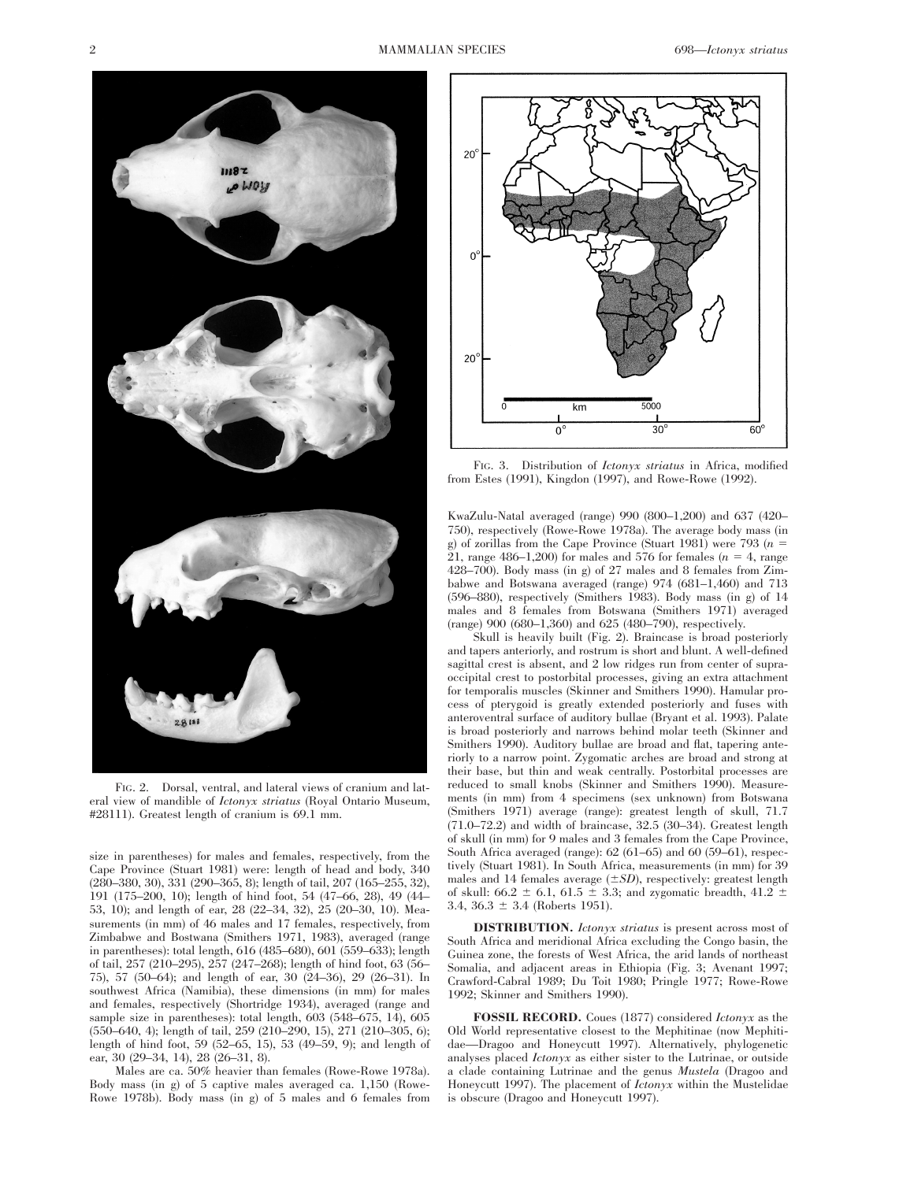

FIG. 2. Dorsal, ventral, and lateral views of cranium and lateral view of mandible of *Ictonyx striatus* (Royal Ontario Museum, #28111). Greatest length of cranium is 69.1 mm.

size in parentheses) for males and females, respectively, from the Cape Province (Stuart 1981) were: length of head and body, 340 (280–380, 30), 331 (290–365, 8); length of tail, 207 (165–255, 32), 191 (175–200, 10); length of hind foot, 54 (47–66, 28), 49 (44– 53, 10); and length of ear, 28 (22–34, 32), 25 (20–30, 10). Measurements (in mm) of 46 males and 17 females, respectively, from Zimbabwe and Bostwana (Smithers 1971, 1983), averaged (range in parentheses): total length, 616 (485–680), 601 (559–633); length of tail, 257 (210–295), 257 (247–268); length of hind foot, 63 (56– 75), 57 (50–64); and length of ear, 30 (24–36), 29 (26–31). In southwest Africa (Namibia), these dimensions (in mm) for males and females, respectively (Shortridge 1934), averaged (range and sample size in parentheses): total length, 603 (548–675, 14), 605 (550–640, 4); length of tail, 259 (210–290, 15), 271 (210–305, 6); length of hind foot, 59 (52–65, 15), 53 (49–59, 9); and length of ear, 30 (29–34, 14), 28 (26–31, 8).

Males are ca. 50% heavier than females (Rowe-Rowe 1978a). Body mass (in g) of 5 captive males averaged ca. 1,150 (Rowe-Rowe 1978b). Body mass (in g) of 5 males and 6 females from



FIG. 3. Distribution of *Ictonyx striatus* in Africa, modified from Estes (1991), Kingdon (1997), and Rowe-Rowe (1992).

KwaZulu-Natal averaged (range) 990 (800–1,200) and 637 (420– 750), respectively (Rowe-Rowe 1978a). The average body mass (in g) of zorillas from the Cape Province (Stuart 1981) were 793  $(n = 1)$ 21, range 486–1,200) for males and 576 for females  $(n = 4,$  range 428–700). Body mass (in g) of 27 males and 8 females from Zimbabwe and Botswana averaged (range) 974 (681–1,460) and 713 (596–880), respectively (Smithers 1983). Body mass (in g) of 14 males and 8 females from Botswana (Smithers 1971) averaged (range) 900 (680–1,360) and 625 (480–790), respectively.

Skull is heavily built (Fig. 2). Braincase is broad posteriorly and tapers anteriorly, and rostrum is short and blunt. A well-defined sagittal crest is absent, and 2 low ridges run from center of supraoccipital crest to postorbital processes, giving an extra attachment for temporalis muscles (Skinner and Smithers 1990). Hamular process of pterygoid is greatly extended posteriorly and fuses with anteroventral surface of auditory bullae (Bryant et al. 1993). Palate is broad posteriorly and narrows behind molar teeth (Skinner and Smithers 1990). Auditory bullae are broad and flat, tapering anteriorly to a narrow point. Zygomatic arches are broad and strong at their base, but thin and weak centrally. Postorbital processes are reduced to small knobs (Skinner and Smithers 1990). Measurements (in mm) from 4 specimens (sex unknown) from Botswana (Smithers 1971) average (range): greatest length of skull, 71.7 (71.0–72.2) and width of braincase, 32.5 (30–34). Greatest length of skull (in mm) for 9 males and 3 females from the Cape Province, South Africa averaged (range): 62 (61–65) and 60 (59–61), respectively (Stuart 1981). In South Africa, measurements (in mm) for 39 males and 14 females average  $(\pm SD)$ , respectively: greatest length of skull: 66.2  $\pm$  6.1, 61.5  $\pm$  3.3; and zygomatic breadth, 41.2  $\pm$ 3.4,  $36.3 \pm 3.4$  (Roberts 1951).

**DISTRIBUTION.** *Ictonyx striatus* is present across most of South Africa and meridional Africa excluding the Congo basin, the Guinea zone, the forests of West Africa, the arid lands of northeast Somalia, and adjacent areas in Ethiopia (Fig. 3; Avenant 1997; Crawford-Cabral 1989; Du Toit 1980; Pringle 1977; Rowe-Rowe 1992; Skinner and Smithers 1990).

**FOSSIL RECORD.** Coues (1877) considered *Ictonyx* as the Old World representative closest to the Mephitinae (now Mephitidae—Dragoo and Honeycutt 1997). Alternatively, phylogenetic analyses placed *Ictonyx* as either sister to the Lutrinae, or outside a clade containing Lutrinae and the genus *Mustela* (Dragoo and Honeycutt 1997). The placement of *Ictonyx* within the Mustelidae is obscure (Dragoo and Honeycutt 1997).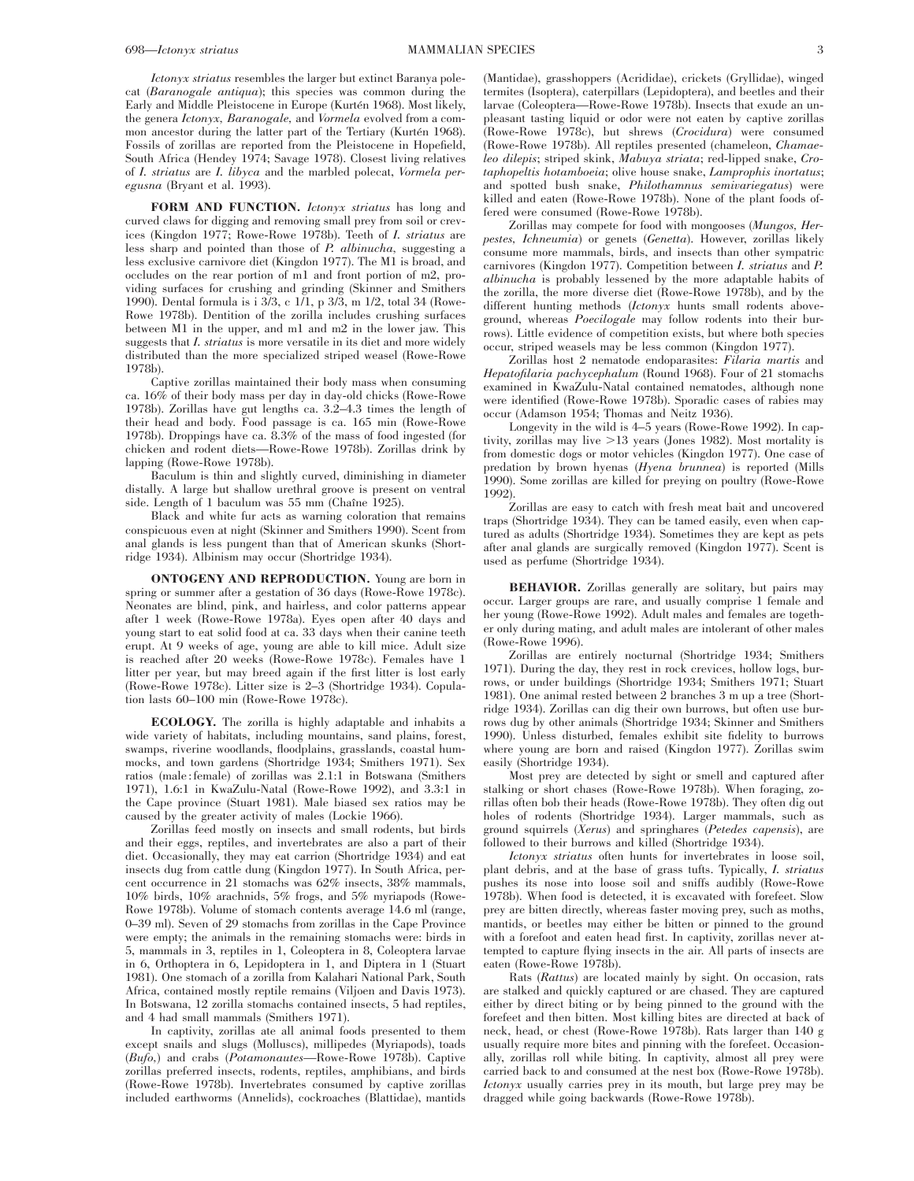*Ictonyx striatus* resembles the larger but extinct Baranya polecat (*Baranogale antiqua*); this species was common during the Early and Middle Pleistocene in Europe (Kurtén 1968). Most likely, the genera *Ictonyx, Baranogale,* and *Vormela* evolved from a common ancestor during the latter part of the Tertiary (Kurtén 1968). Fossils of zorillas are reported from the Pleistocene in Hopefield, South Africa (Hendey 1974; Savage 1978). Closest living relatives of *I. striatus* are *I. libyca* and the marbled polecat, *Vormela peregusna* (Bryant et al. 1993).

**FORM AND FUNCTION.** *Ictonyx striatus* has long and curved claws for digging and removing small prey from soil or crevices (Kingdon 1977; Rowe-Rowe 1978b). Teeth of *I. striatus* are less sharp and pointed than those of *P. albinucha,* suggesting a less exclusive carnivore diet (Kingdon 1977). The M1 is broad, and occludes on the rear portion of m1 and front portion of m2, providing surfaces for crushing and grinding (Skinner and Smithers 1990). Dental formula is i 3/3, c 1/1, p 3/3, m 1/2, total 34 (Rowe-Rowe 1978b). Dentition of the zorilla includes crushing surfaces between M1 in the upper, and m1 and m2 in the lower jaw. This suggests that *I. striatus* is more versatile in its diet and more widely distributed than the more specialized striped weasel (Rowe-Rowe 1978b).

Captive zorillas maintained their body mass when consuming ca. 16% of their body mass per day in day-old chicks (Rowe-Rowe 1978b). Zorillas have gut lengths ca. 3.2–4.3 times the length of their head and body. Food passage is ca. 165 min (Rowe-Rowe 1978b). Droppings have ca. 8.3% of the mass of food ingested (for chicken and rodent diets—Rowe-Rowe 1978b). Zorillas drink by lapping (Rowe-Rowe 1978b).

Baculum is thin and slightly curved, diminishing in diameter distally. A large but shallow urethral groove is present on ventral side. Length of 1 baculum was 55 mm (Chaîne 1925).

Black and white fur acts as warning coloration that remains conspicuous even at night (Skinner and Smithers 1990). Scent from anal glands is less pungent than that of American skunks (Shortridge 1934). Albinism may occur (Shortridge 1934).

**ONTOGENY AND REPRODUCTION.** Young are born in spring or summer after a gestation of 36 days (Rowe-Rowe 1978c). Neonates are blind, pink, and hairless, and color patterns appear after 1 week (Rowe-Rowe 1978a). Eyes open after 40 days and young start to eat solid food at ca. 33 days when their canine teeth erupt. At 9 weeks of age, young are able to kill mice. Adult size is reached after 20 weeks (Rowe-Rowe 1978c). Females have 1 litter per year, but may breed again if the first litter is lost early (Rowe-Rowe 1978c). Litter size is 2–3 (Shortridge 1934). Copulation lasts 60–100 min (Rowe-Rowe 1978c).

**ECOLOGY.** The zorilla is highly adaptable and inhabits a wide variety of habitats, including mountains, sand plains, forest, swamps, riverine woodlands, floodplains, grasslands, coastal hummocks, and town gardens (Shortridge 1934; Smithers 1971). Sex ratios (male : female) of zorillas was 2.1:1 in Botswana (Smithers 1971), 1.6:1 in KwaZulu-Natal (Rowe-Rowe 1992), and 3.3:1 in the Cape province (Stuart 1981). Male biased sex ratios may be caused by the greater activity of males (Lockie 1966).

Zorillas feed mostly on insects and small rodents, but birds and their eggs, reptiles, and invertebrates are also a part of their diet. Occasionally, they may eat carrion (Shortridge 1934) and eat insects dug from cattle dung (Kingdon 1977). In South Africa, percent occurrence in 21 stomachs was 62% insects, 38% mammals, 10% birds, 10% arachnids, 5% frogs, and 5% myriapods (Rowe-Rowe 1978b). Volume of stomach contents average 14.6 ml (range, 0–39 ml). Seven of 29 stomachs from zorillas in the Cape Province were empty; the animals in the remaining stomachs were: birds in 5, mammals in 3, reptiles in 1, Coleoptera in 8, Coleoptera larvae in 6, Orthoptera in 6, Lepidoptera in 1, and Diptera in 1 (Stuart 1981). One stomach of a zorilla from Kalahari National Park, South Africa, contained mostly reptile remains (Viljoen and Davis 1973). In Botswana, 12 zorilla stomachs contained insects, 5 had reptiles, and 4 had small mammals (Smithers 1971).

In captivity, zorillas ate all animal foods presented to them except snails and slugs (Molluscs), millipedes (Myriapods), toads (*Bufo,*) and crabs (*Potamonautes*—Rowe-Rowe 1978b). Captive zorillas preferred insects, rodents, reptiles, amphibians, and birds (Rowe-Rowe 1978b). Invertebrates consumed by captive zorillas included earthworms (Annelids), cockroaches (Blattidae), mantids

(Mantidae), grasshoppers (Acrididae), crickets (Gryllidae), winged termites (Isoptera), caterpillars (Lepidoptera), and beetles and their larvae (Coleoptera—Rowe-Rowe 1978b). Insects that exude an unpleasant tasting liquid or odor were not eaten by captive zorillas (Rowe-Rowe 1978c), but shrews (*Crocidura*) were consumed (Rowe-Rowe 1978b). All reptiles presented (chameleon, *Chamaeleo dilepis*; striped skink, *Mabuya striata*; red-lipped snake, *Crotaphopeltis hotamboeia*; olive house snake, *Lamprophis inortatus*; and spotted bush snake, *Philothamnus semivariegatus*) were killed and eaten (Rowe-Rowe 1978b). None of the plant foods offered were consumed (Rowe-Rowe 1978b).

Zorillas may compete for food with mongooses (*Mungos, Herpestes, Ichneumia*) or genets (*Genetta*). However, zorillas likely consume more mammals, birds, and insects than other sympatric carnivores (Kingdon 1977). Competition between *I. striatus* and *P. albinucha* is probably lessened by the more adaptable habits of the zorilla, the more diverse diet (Rowe-Rowe 1978b), and by the different hunting methods (*Ictonyx* hunts small rodents aboveground, whereas *Poecilogale* may follow rodents into their burrows). Little evidence of competition exists, but where both species occur, striped weasels may be less common (Kingdon 1977).

Zorillas host 2 nematode endoparasites: *Filaria martis* and *Hepatofilaria pachycephalum* (Round 1968). Four of 21 stomachs examined in KwaZulu-Natal contained nematodes, although none were identified (Rowe-Rowe 1978b). Sporadic cases of rabies may occur (Adamson 1954; Thomas and Neitz 1936).

Longevity in the wild is 4–5 years (Rowe-Rowe 1992). In captivity, zorillas may live  $>13$  years (Jones 1982). Most mortality is from domestic dogs or motor vehicles (Kingdon 1977). One case of predation by brown hyenas (*Hyena brunnea*) is reported (Mills 1990). Some zorillas are killed for preying on poultry (Rowe-Rowe 1992).

Zorillas are easy to catch with fresh meat bait and uncovered traps (Shortridge 1934). They can be tamed easily, even when captured as adults (Shortridge 1934). Sometimes they are kept as pets after anal glands are surgically removed (Kingdon 1977). Scent is used as perfume (Shortridge 1934).

**BEHAVIOR.** Zorillas generally are solitary, but pairs may occur. Larger groups are rare, and usually comprise 1 female and her young (Rowe-Rowe 1992). Adult males and females are together only during mating, and adult males are intolerant of other males (Rowe-Rowe 1996).

Zorillas are entirely nocturnal (Shortridge 1934; Smithers 1971). During the day, they rest in rock crevices, hollow logs, burrows, or under buildings (Shortridge 1934; Smithers 1971; Stuart 1981). One animal rested between 2 branches 3 m up a tree (Shortridge 1934). Zorillas can dig their own burrows, but often use burrows dug by other animals (Shortridge 1934; Skinner and Smithers 1990). Unless disturbed, females exhibit site fidelity to burrows where young are born and raised (Kingdon 1977). Zorillas swim easily (Shortridge 1934).

Most prey are detected by sight or smell and captured after stalking or short chases (Rowe-Rowe 1978b). When foraging, zorillas often bob their heads (Rowe-Rowe 1978b). They often dig out holes of rodents (Shortridge 1934). Larger mammals, such as ground squirrels (*Xerus*) and springhares (*Petedes capensis*), are followed to their burrows and killed (Shortridge 1934).

*Ictonyx striatus* often hunts for invertebrates in loose soil, plant debris, and at the base of grass tufts. Typically, *I. striatus* pushes its nose into loose soil and sniffs audibly (Rowe-Rowe 1978b). When food is detected, it is excavated with forefeet. Slow prey are bitten directly, whereas faster moving prey, such as moths, mantids, or beetles may either be bitten or pinned to the ground with a forefoot and eaten head first. In captivity, zorillas never attempted to capture flying insects in the air. All parts of insects are eaten (Rowe-Rowe 1978b).

Rats (*Rattus*) are located mainly by sight. On occasion, rats are stalked and quickly captured or are chased. They are captured either by direct biting or by being pinned to the ground with the forefeet and then bitten. Most killing bites are directed at back of neck, head, or chest (Rowe-Rowe 1978b). Rats larger than 140 g usually require more bites and pinning with the forefeet. Occasionally, zorillas roll while biting. In captivity, almost all prey were carried back to and consumed at the nest box (Rowe-Rowe 1978b). *Ictonyx* usually carries prey in its mouth, but large prey may be dragged while going backwards (Rowe-Rowe 1978b).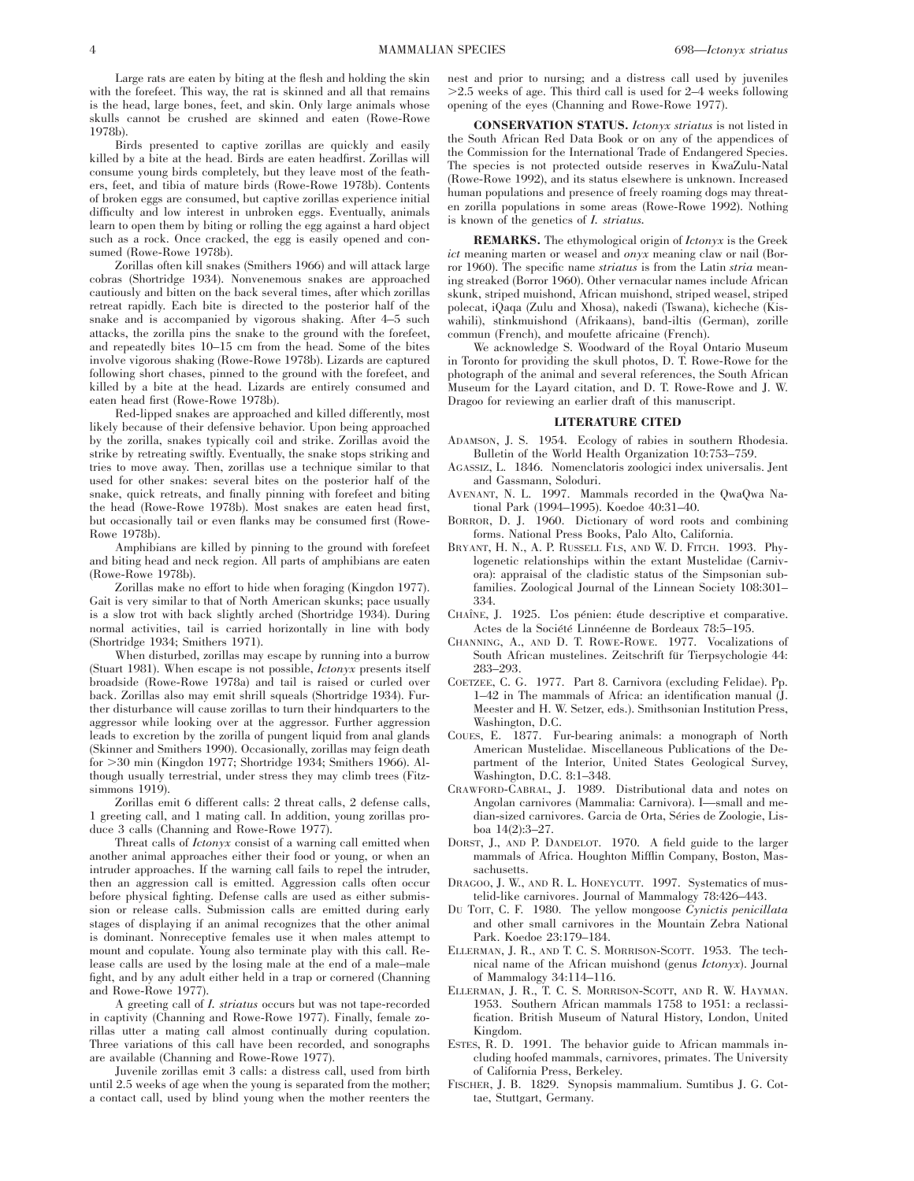Large rats are eaten by biting at the flesh and holding the skin with the forefeet. This way, the rat is skinned and all that remains is the head, large bones, feet, and skin. Only large animals whose skulls cannot be crushed are skinned and eaten (Rowe-Rowe 1978b).

Birds presented to captive zorillas are quickly and easily killed by a bite at the head. Birds are eaten headfirst. Zorillas will consume young birds completely, but they leave most of the feathers, feet, and tibia of mature birds (Rowe-Rowe 1978b). Contents of broken eggs are consumed, but captive zorillas experience initial difficulty and low interest in unbroken eggs. Eventually, animals learn to open them by biting or rolling the egg against a hard object such as a rock. Once cracked, the egg is easily opened and consumed (Rowe-Rowe 1978b).

Zorillas often kill snakes (Smithers 1966) and will attack large cobras (Shortridge 1934). Nonvenemous snakes are approached cautiously and bitten on the back several times, after which zorillas retreat rapidly. Each bite is directed to the posterior half of the snake and is accompanied by vigorous shaking. After 4–5 such attacks, the zorilla pins the snake to the ground with the forefeet, and repeatedly bites 10–15 cm from the head. Some of the bites involve vigorous shaking (Rowe-Rowe 1978b). Lizards are captured following short chases, pinned to the ground with the forefeet, and killed by a bite at the head. Lizards are entirely consumed and eaten head first (Rowe-Rowe 1978b).

Red-lipped snakes are approached and killed differently, most likely because of their defensive behavior. Upon being approached by the zorilla, snakes typically coil and strike. Zorillas avoid the strike by retreating swiftly. Eventually, the snake stops striking and tries to move away. Then, zorillas use a technique similar to that used for other snakes: several bites on the posterior half of the snake, quick retreats, and finally pinning with forefeet and biting the head (Rowe-Rowe 1978b). Most snakes are eaten head first, but occasionally tail or even flanks may be consumed first (Rowe-Rowe 1978b).

Amphibians are killed by pinning to the ground with forefeet and biting head and neck region. All parts of amphibians are eaten (Rowe-Rowe 1978b).

Zorillas make no effort to hide when foraging (Kingdon 1977). Gait is very similar to that of North American skunks; pace usually is a slow trot with back slightly arched (Shortridge 1934). During normal activities, tail is carried horizontally in line with body (Shortridge 1934; Smithers 1971).

When disturbed, zorillas may escape by running into a burrow (Stuart 1981). When escape is not possible, *Ictonyx* presents itself broadside (Rowe-Rowe 1978a) and tail is raised or curled over back. Zorillas also may emit shrill squeals (Shortridge 1934). Further disturbance will cause zorillas to turn their hindquarters to the aggressor while looking over at the aggressor. Further aggression leads to excretion by the zorilla of pungent liquid from anal glands (Skinner and Smithers 1990). Occasionally, zorillas may feign death for .30 min (Kingdon 1977; Shortridge 1934; Smithers 1966). Although usually terrestrial, under stress they may climb trees (Fitzsimmons 1919).

Zorillas emit 6 different calls: 2 threat calls, 2 defense calls, 1 greeting call, and 1 mating call. In addition, young zorillas produce 3 calls (Channing and Rowe-Rowe 1977).

Threat calls of *Ictonyx* consist of a warning call emitted when another animal approaches either their food or young, or when an intruder approaches. If the warning call fails to repel the intruder, then an aggression call is emitted. Aggression calls often occur before physical fighting. Defense calls are used as either submission or release calls. Submission calls are emitted during early stages of displaying if an animal recognizes that the other animal is dominant. Nonreceptive females use it when males attempt to mount and copulate. Young also terminate play with this call. Release calls are used by the losing male at the end of a male–male fight, and by any adult either held in a trap or cornered (Channing and Rowe-Rowe 1977).

A greeting call of *I. striatus* occurs but was not tape-recorded in captivity (Channing and Rowe-Rowe 1977). Finally, female zorillas utter a mating call almost continually during copulation. Three variations of this call have been recorded, and sonographs are available (Channing and Rowe-Rowe 1977).

Juvenile zorillas emit 3 calls: a distress call, used from birth until 2.5 weeks of age when the young is separated from the mother; a contact call, used by blind young when the mother reenters the

nest and prior to nursing; and a distress call used by juveniles  $>2.5$  weeks of age. This third call is used for 2–4 weeks following opening of the eyes (Channing and Rowe-Rowe 1977).

**CONSERVATION STATUS.** *Ictonyx striatus* is not listed in the South African Red Data Book or on any of the appendices of the Commission for the International Trade of Endangered Species. The species is not protected outside reserves in KwaZulu-Natal (Rowe-Rowe 1992), and its status elsewhere is unknown. Increased human populations and presence of freely roaming dogs may threaten zorilla populations in some areas (Rowe-Rowe 1992). Nothing is known of the genetics of *I. striatus.*

**REMARKS.** The ethymological origin of *Ictonyx* is the Greek *ict* meaning marten or weasel and *onyx* meaning claw or nail (Borror 1960). The specific name *striatus* is from the Latin *stria* meaning streaked (Borror 1960). Other vernacular names include African skunk, striped muishond, African muishond, striped weasel, striped polecat, iQaqa (Zulu and Xhosa), nakedi (Tswana), kicheche (Kiswahili), stinkmuishond (Afrikaans), band-iltis (German), zorille commun (French), and moufette africaine (French).

We acknowledge S. Woodward of the Royal Ontario Museum in Toronto for providing the skull photos, D. T. Rowe-Rowe for the photograph of the animal and several references, the South African Museum for the Layard citation, and D. T. Rowe-Rowe and J. W. Dragoo for reviewing an earlier draft of this manuscript.

#### **LITERATURE CITED**

- ADAMSON, J. S. 1954. Ecology of rabies in southern Rhodesia. Bulletin of the World Health Organization 10:753–759.
- AGASSIZ, L. 1846. Nomenclatoris zoologici index universalis. Jent and Gassmann, Soloduri.
- AVENANT, N. L. 1997. Mammals recorded in the QwaQwa National Park (1994–1995). Koedoe 40:31–40.
- BORROR, D. J. 1960. Dictionary of word roots and combining forms. National Press Books, Palo Alto, California.
- BRYANT, H. N., A. P. RUSSELL FLS, AND W. D. FITCH. 1993. Phylogenetic relationships within the extant Mustelidae (Carnivora): appraisal of the cladistic status of the Simpsonian subfamilies. Zoological Journal of the Linnean Society 108:301– 334.
- CHAÎNE, J. 1925. L'os pénien: étude descriptive et comparative. Actes de la Société Linnéenne de Bordeaux 78:5–195.
- CHANNING, A., AND D. T. ROWE-ROWE. 1977. Vocalizations of South African mustelines. Zeitschrift für Tierpsychologie 44: 283–293.
- COETZEE, C. G. 1977. Part 8. Carnivora (excluding Felidae). Pp. 1–42 in The mammals of Africa: an identification manual (J. Meester and H. W. Setzer, eds.). Smithsonian Institution Press, Washington, D.C.
- COUES, E. 1877. Fur-bearing animals: a monograph of North American Mustelidae. Miscellaneous Publications of the Department of the Interior, United States Geological Survey, Washington, D.C. 8:1–348.
- CRAWFORD-CABRAL, J. 1989. Distributional data and notes on Angolan carnivores (Mammalia: Carnivora). I—small and median-sized carnivores. Garcia de Orta, Séries de Zoologie, Lisboa 14(2):3–27.
- DORST, J., AND P. DANDELOT. 1970. A field guide to the larger mammals of Africa. Houghton Mifflin Company, Boston, Massachusetts.
- DRAGOO, J. W., AND R. L. HONEYCUTT. 1997. Systematics of mustelid-like carnivores. Journal of Mammalogy 78:426–443.
- DU TOIT, C. F. 1980. The yellow mongoose *Cynictis penicillata* and other small carnivores in the Mountain Zebra National Park. Koedoe 23:179–184.
- ELLERMAN, J. R., AND T. C. S. MORRISON-SCOTT. 1953. The technical name of the African muishond (genus *Ictonyx*). Journal of Mammalogy 34:114–116.
- ELLERMAN, J. R., T. C. S. MORRISON-SCOTT, AND R. W. HAYMAN. 1953. Southern African mammals 1758 to 1951: a reclassification. British Museum of Natural History, London, United Kingdom.
- ESTES, R. D. 1991. The behavior guide to African mammals including hoofed mammals, carnivores, primates. The University of California Press, Berkeley.
- FISCHER, J. B. 1829. Synopsis mammalium. Sumtibus J. G. Cottae, Stuttgart, Germany.